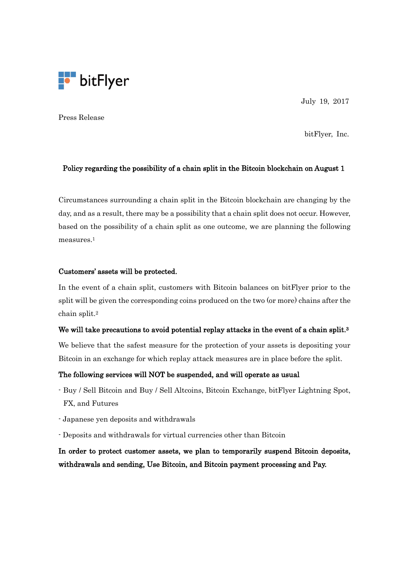

July 19, 2017

Press Release

bitFlyer, Inc.

### Policy regarding the possibility of a chain split in the Bitcoin blockchain on August 1

Circumstances surrounding a chain split in the Bitcoin blockchain are changing by the day, and as a result, there may be a possibility that a chain split does not occur. However, based on the possibility of a chain split as one outcome, we are planning the following measures.<sup>1</sup>

### Customers' assets will be protected.

In the event of a chain split, customers with Bitcoin balances on bitFlyer prior to the split will be given the corresponding coins produced on the two (or more) chains after the chain split.<sup>2</sup>

## We will take precautions to avoid potential replay attacks in the event of a chain split.<sup>3</sup>

We believe that the safest measure for the protection of your assets is depositing your Bitcoin in an exchange for which replay attack measures are in place before the split.

### The following services will NOT be suspended, and will operate as usual

- Buy / Sell Bitcoin and Buy / Sell Altcoins, Bitcoin Exchange, bitFlyer Lightning Spot, FX, and Futures
- Japanese yen deposits and withdrawals
- Deposits and withdrawals for virtual currencies other than Bitcoin

In order to protect customer assets, we plan to temporarily suspend Bitcoin deposits, withdrawals and sending, Use Bitcoin, and Bitcoin payment processing and Pay.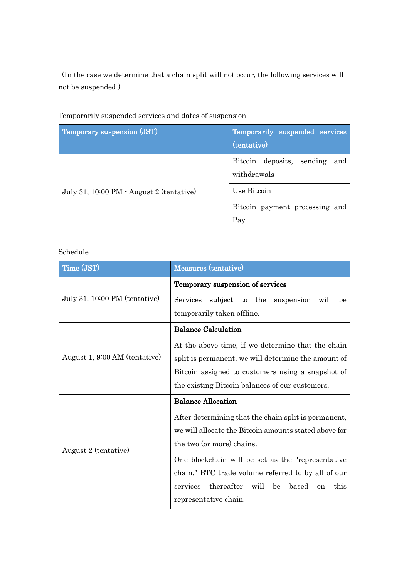(In the case we determine that a chain split will not occur, the following services will not be suspended.)

| Temporary suspension (JST)               | Temporarily suspended services<br>(tentative)   |
|------------------------------------------|-------------------------------------------------|
|                                          | Bitcoin deposits, sending<br>and<br>withdrawals |
| July 31, 10:00 PM · August 2 (tentative) | Use Bitcoin                                     |
|                                          | Bitcoin payment processing and<br>Pay           |

Temporarily suspended services and dates of suspension

# Schedule

| Time (JST)                    | Measures (tentative)                                       |
|-------------------------------|------------------------------------------------------------|
| July 31, 10:00 PM (tentative) | Temporary suspension of services                           |
|                               | <b>Services</b><br>subject to the suspension<br>will<br>be |
|                               | temporarily taken offline.                                 |
| August 1, 9:00 AM (tentative) | <b>Balance Calculation</b>                                 |
|                               | At the above time, if we determine that the chain          |
|                               | split is permanent, we will determine the amount of        |
|                               | Bitcoin assigned to customers using a snapshot of          |
|                               | the existing Bitcoin balances of our customers.            |
| August 2 (tentative)          | <b>Balance Allocation</b>                                  |
|                               | After determining that the chain split is permanent,       |
|                               | we will allocate the Bitcoin amounts stated above for      |
|                               | the two (or more) chains.                                  |
|                               | One blockchain will be set as the "representative"         |
|                               | chain." BTC trade volume referred to by all of our         |
|                               | thereafter<br>will be<br>services<br>based<br>this<br>on   |
|                               | representative chain.                                      |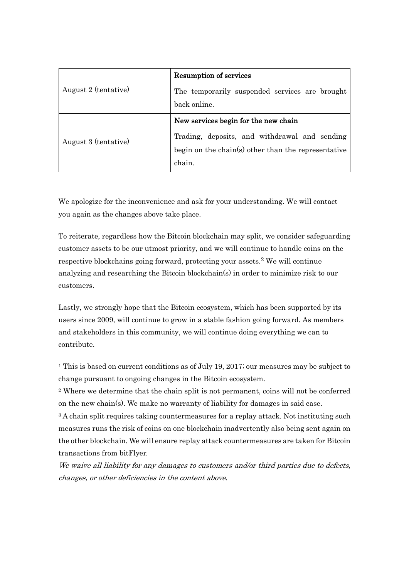| August 2 (tentative) | <b>Resumption of services</b>                       |
|----------------------|-----------------------------------------------------|
|                      | The temporarily suspended services are brought      |
|                      | back online.                                        |
| August 3 (tentative) | New services begin for the new chain                |
|                      | Trading, deposits, and withdrawal and sending       |
|                      | begin on the chain(s) other than the representative |
|                      | chain.                                              |

We apologize for the inconvenience and ask for your understanding. We will contact you again as the changes above take place.

To reiterate, regardless how the Bitcoin blockchain may split, we consider safeguarding customer assets to be our utmost priority, and we will continue to handle coins on the respective blockchains going forward, protecting your assets. 2 We will continue analyzing and researching the Bitcoin blockchain(s) in order to minimize risk to our customers.

Lastly, we strongly hope that the Bitcoin ecosystem, which has been supported by its users since 2009, will continue to grow in a stable fashion going forward. As members and stakeholders in this community, we will continue doing everything we can to contribute.

<sup>1</sup> This is based on current conditions as of July 19, 2017; our measures may be subject to change pursuant to ongoing changes in the Bitcoin ecosystem.

<sup>2</sup> Where we determine that the chain split is not permanent, coins will not be conferred on the new chain(s). We make no warranty of liability for damages in said case.

<sup>3</sup> A chain split requires taking countermeasures for a replay attack. Not instituting such measures runs the risk of coins on one blockchain inadvertently also being sent again on the other blockchain. We will ensure replay attack countermeasures are taken for Bitcoin transactions from bitFlyer.

We waive all liability for any damages to customers and/or third parties due to defects, changes, or other deficiencies in the content above.